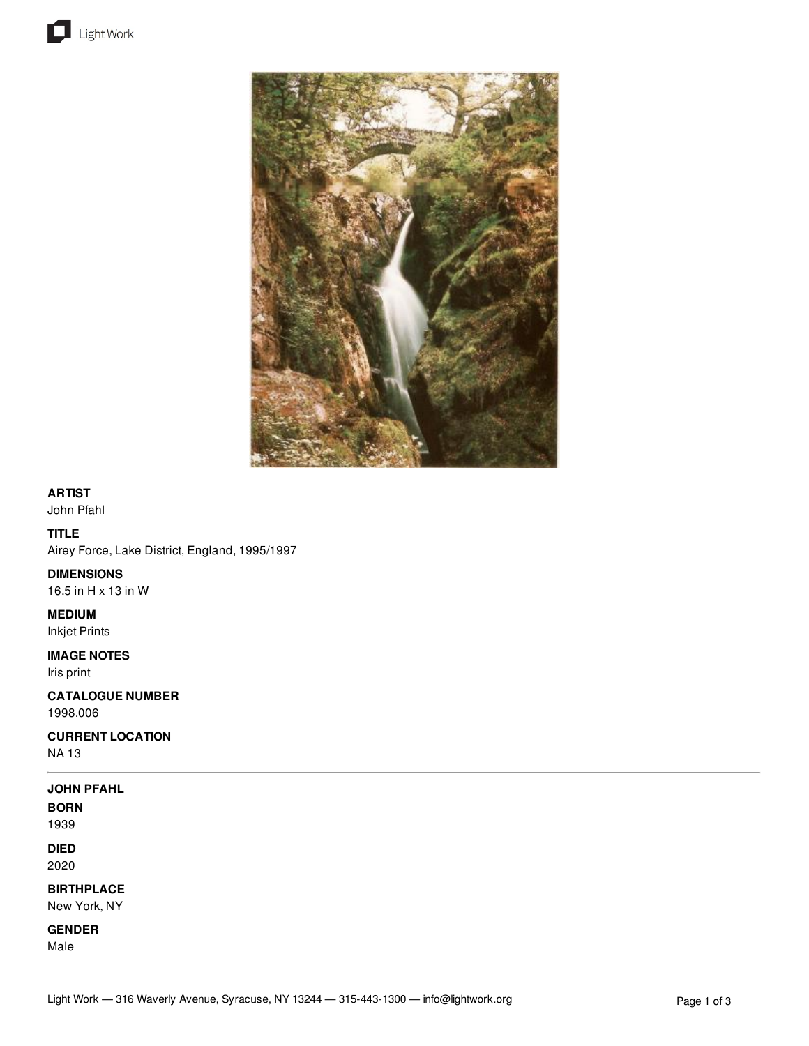



## **ARTIST**

John Pfahl

### **TITLE**

Airey Force, Lake District, England, 1995/1997

### **DIMENSIONS**

16.5 in H x 13 in W

### **MEDIUM**

Inkjet Prints

### **IMAGE NOTES**

Iris print

# **CATALOGUE NUMBER**

1998.006

## **CURRENT LOCATION**

NA 13

### **JOHN PFAHL**

**BORN** 1939

**DIED**

2020

# **BIRTHPLACE**

New York, NY

**GENDER**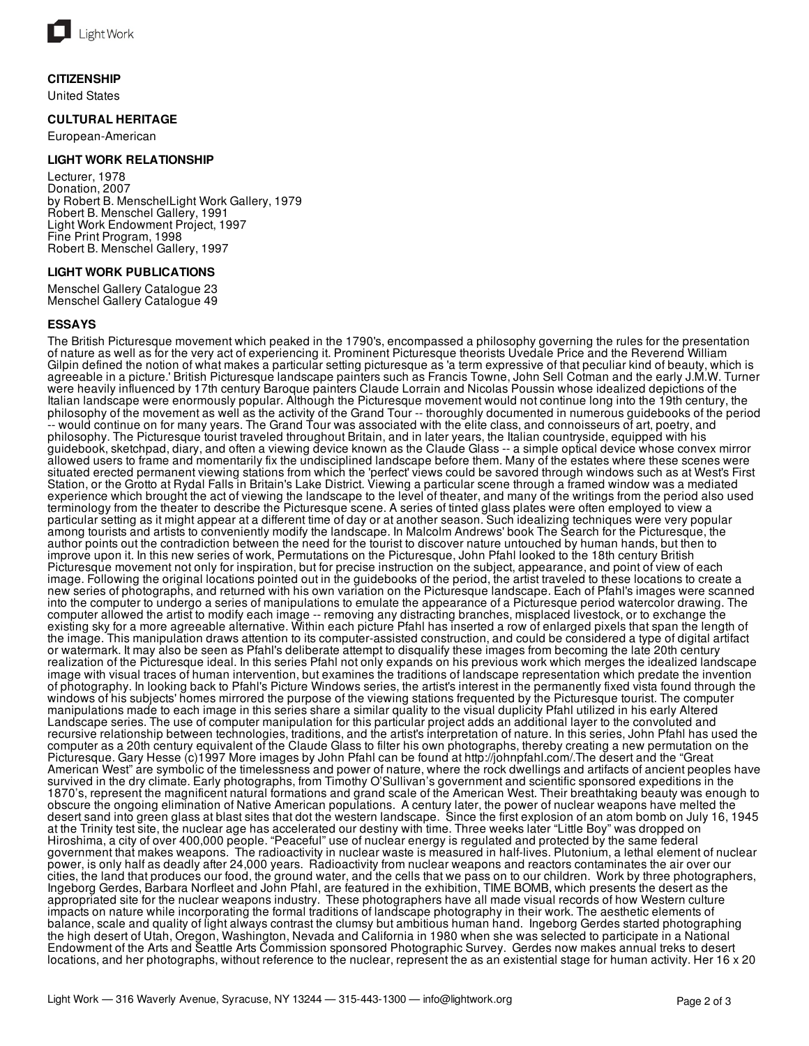

### **CITIZENSHIP**

United States

### **CULTURAL HERITAGE**

European-American

### **LIGHT WORK RELATIONSHIP**

Lecturer, 1978 Donation, 2007 by Robert B. MenschelLight Work Gallery, 1979 Robert B. Menschel Gallery, 1991 Light Work Endowment Project, 1997 Fine Print Program, 1998 Robert B. Menschel Gallery, 1997

### **LIGHT WORK PUBLICATIONS**

Menschel Gallery Catalogue 23 Menschel Gallery Catalogue 49

### **ESSAYS**

The British Picturesque movement which peaked in the 1790's, encompassed a philosophy governing the rules for the presentation of nature as well as for the very act of experiencing it. Prominent Picturesque theorists Uvedale Price and the Reverend William Gilpin defined the notion of what makes a particular setting picturesque as 'a term expressive of that peculiar kind of beauty, which is agreeable in a picture.' British Picturesque landscape painters such as Francis Towne, John Sell Cotman and the early J.M.W. Turner were heavily influenced by 17th century Baroque painters Claude Lorrain and Nicolas Poussin whose idealized depictions of the Italian landscape were enormously popular. Although the Picturesque movement would not continue long into the 19th century, the philosophy of the movement as well as the activity of the Grand Tour -- thoroughly documented in numerous guidebooks of the period -- would continue on for many years. The Grand Tour was associated with the elite class, and connoisseurs of art, poetry, and philosophy. The Picturesque tourist traveled throughout Britain, and in later years, the Italian countryside, equipped with his guidebook, sketchpad, diary, and often a viewing device known as the Claude Glass -- a simple optical device whose convex mirror allowed users to frame and momentarily fix the undisciplined landscape before them. Many of the estates where these scenes were situated erected permanent viewing stations from which the 'perfect' views could be savored through windows such as at West's First Station, or the Grotto at Rydal Falls in Britain's Lake District. Viewing a particular scene through a framed window was a mediated experience which brought the act of viewing the landscape to the level of theater, and many of the writings from the period also used terminology from the theater to describe the Picturesque scene. A series of tinted glass plates were often employed to view a particular setting as it might appear at a different time of day or at another season. Such idealizing techniques were very popular among tourists and artists to conveniently modify the landscape. In Malcolm Andrews' book The Search for the Picturesque, the author points out the contradiction between the need for the tourist to discover nature untouched by human hands, but then to improve upon it. In this new series of work, Permutations on the Picturesque, John Pfahl looked to the 18th century British Picturesque movement not only for inspiration, but for precise instruction on the subject, appearance, and point of view of each image. Following the original locations pointed out in the guidebooks of the period, the artist traveled to these locations to create a new series of photographs, and returned with his own variation on the Picturesque landscape. Each of Pfahl's images were scanned into the computer to undergo a series of manipulations to emulate the appearance of a Picturesque period watercolor drawing. The computer allowed the artist to modify each image -- removing any distracting branches, misplaced livestock, or to exchange the existing sky for a more agreeable alternative. Within each picture Pfahl has inserted a row of enlarged pixels that span the length of the image. This manipulation draws attention to its computer-assisted construction, and could be considered a type of digital artifact or watermark. It may also be seen as Pfahl's deliberate attempt to disqualify these images from becoming the late 20th century realization of the Picturesque ideal. In this series Pfahl not only expands on his previous work which merges the idealized landscape image with visual traces of human intervention, but examines the traditions of landscape representation which predate the invention of photography. In looking back to Pfahl's Picture Windows series, the artist's interest in the permanently fixed vista found through the windows of his subjects' homes mirrored the purpose of the viewing stations frequented by the Picturesque tourist. The computer manipulations made to each image in this series share a similar quality to the visual duplicity Pfahl utilized in his early Altered Landscape series. The use of computer manipulation for this particular project adds an additional layer to the convoluted and recursive relationship between technologies, traditions, and the artist's interpretation of nature. In this series, John Pfahl has used the computer as a 20th century equivalent of the Claude Glass to filter his own photographs, thereby creating a new permutation on the Picturesque. Gary Hesse (c)1997 More images by John Pfahl can be found at http://johnpfahl.com/.The desert and the "Great American West" are symbolic of the timelessness and power of nature, where the rock dwellings and artifacts of ancient peoples have survived in the dry climate. Early photographs, from Timothy O'Sullivan's government and scientific sponsored expeditions in the 1870's, represent the magnificent natural formations and grand scale of the American West. Their breathtaking beauty was enough to obscure the ongoing elimination of Native American populations. A century later, the power of nuclear weapons have melted the desert sand into green glass at blast sites that dot the western landscape. Since the first explosion of an atom bomb on July 16, 1945 at the Trinity test site, the nuclear age has accelerated our destiny with time. Three weeks later "Little Boy" was dropped on Hiroshima, a city of over 400,000 people. "Peaceful" use of nuclear energy is regulated and protected by the same federal government that makes weapons. The radioactivity in nuclear waste is measured in half-lives. Plutonium, a lethal element of nuclear power, is only half as deadly after 24,000 years. Radioactivity from nuclear weapons and reactors contaminates the air over our cities, the land that produces our food, the ground water, and the cells that we pass on to our children. Work by three photographers, Ingeborg Gerdes, Barbara Norfleet and John Pfahl, are featured in the exhibition, TIME BOMB, which presents the desert as the appropriated site for the nuclear weapons industry. These photographers have all made visual records of how Western culture impacts on nature while incorporating the formal traditions of landscape photography in their work. The aesthetic elements of balance, scale and quality of light always contrast the clumsy but ambitious human hand. Ingeborg Gerdes started photographing the high desert of Utah, Oregon, Washington, Nevada and California in 1980 when she was selected to participate in a National Endowment of the Arts and Seattle Arts Commission sponsored Photographic Survey. Gerdes now makes annual treks to desert locations, and her photographs, without reference to the nuclear, represent the as an existential stage for human activity. Her 16 x 20